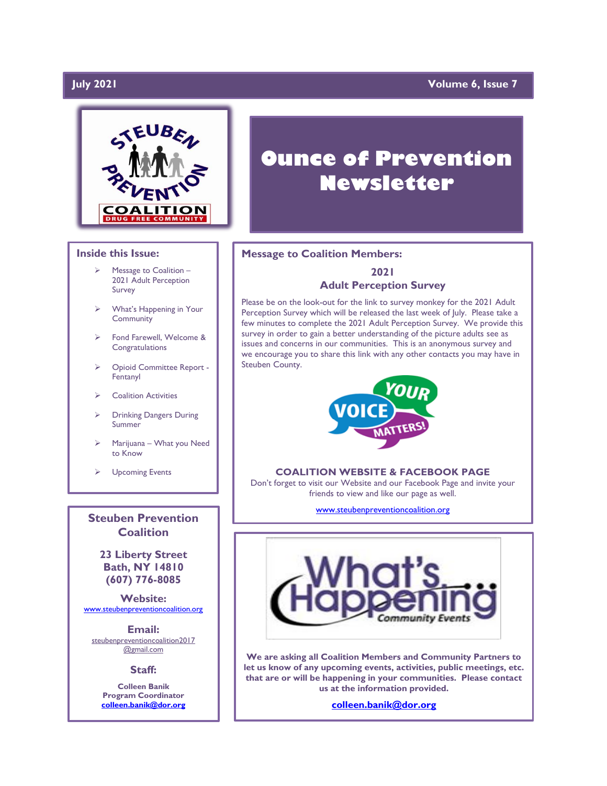# July 2021

# **Volume 6, Issue 7**



## **Inside this Issue:**

- Message to Coalition -2021 Adult Perception Survey
- ➢ What's Happening in Your Community
- Fond Farewell, Welcome & **Congratulations**
- ➢ Opioid Committee Report Fentanyl
- ➢ Coalition Activities
- ➢ Drinking Dangers During Summer
- ➢ Marijuana What you Need to Know
- ➢ Upcoming Events

**Steuben Prevention Coalition**

**23 Liberty Street Bath, NY 14810 (607) 776-8085**

**Website:**  [www.steubenpreventioncoalition.org](http://www.steubenpreventioncoalition.org/)

**Email:**  steubenpreventioncoalition2017 @gmail.com

**Staff:**

**Colleen Banik Program Coordinator [colleen.banik@dor.org](mailto:colleen.banik@dor.org)**

# **Ounce of Prevention Newsletter**

### **Message to Coalition Members:**

# **2021 Adult Perception Survey**

Please be on the look-out for the link to survey monkey for the 2021 Adult Perception Survey which will be released the last week of July. Please take a few minutes to complete the 2021 Adult Perception Survey. We provide this survey in order to gain a better understanding of the picture adults see as issues and concerns in our communities. This is an anonymous survey and we encourage you to share this link with any other contacts you may have in Steuben County.



### **COALITION WEBSITE & FACEBOOK PAGE**

Don't forget to visit our Website and our Facebook Page and invite your friends to view and like our page as well.

[www.steubenpreventioncoalition.org](http://www.steubenpreventioncoalition.org/)



**We are asking all Coalition Members and Community Partners to let us know of any upcoming events, activities, public meetings, etc. that are or will be happening in your communities. Please contact us at the information provided.**

**[colleen.banik@dor.org](mailto:colleen.banik@dor.org)**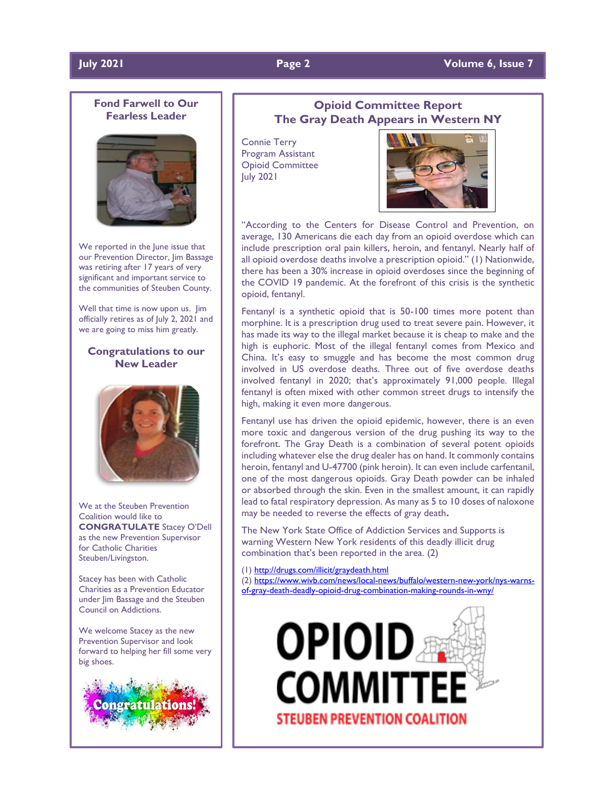# **July 2021 Page 2 Volume 6, Issue 7**

# **Fond Farwell to Our Fearless Leader**



We reported in the June issue that our Prevention Director, Jim Bassage was retiring after 17 years of very significant and important service to the communities of Steuben County.

Well that time is now upon us. Jim officially retires as of July 2, 2021 and we are going to miss him greatly.

# **Congratulations to our New Leader**



We at the Steuben Prevention Coalition would like to **CONGRATULATE** Stacey O'Dell as the new Prevention Supervisor for Catholic Charities Steuben/Livingston.

Stacey has been with Catholic Charities as a Prevention Educator under Jim Bassage and the Steuben Council on Addictions.

We welcome Stacey as the new Prevention Supervisor and look forward to helping her fill some very big shoes.



# **Opioid Committee Report The Gray Death Appears in Western NY**

Connie Terry Program Assistant Opioid Committee July 2021



"According to the Centers for Disease Control and Prevention, on average, 130 Americans die each day from an opioid overdose which can include prescription oral pain killers, heroin, and fentanyl. Nearly half of all opioid overdose deaths involve a prescription opioid." (1) Nationwide, there has been a 30% increase in opioid overdoses since the beginning of the COVID 19 pandemic. At the forefront of this crisis is the synthetic opioid, fentanyl.

Fentanyl is a synthetic opioid that is 50-100 times more potent than morphine. It is a prescription drug used to treat severe pain. However, it has made its way to the illegal market because it is cheap to make and the high is euphoric. Most of the illegal fentanyl comes from Mexico and China. It's easy to smuggle and has become the most common drug involved in US overdose deaths. Three out of five overdose deaths involved fentanyl in 2020; that's approximately 91,000 people. Illegal fentanyl is often mixed with other common street drugs to intensify the high, making it even more dangerous.

Fentanyl use has driven the opioid epidemic, however, there is an even more toxic and dangerous version of the drug pushing its way to the forefront. The Gray Death is a combination of several potent opioids including whatever else the drug dealer has on hand. It commonly contains heroin, fentanyl and U-47700 (pink heroin). It can even include carfentanil, one of the most dangerous opioids. Gray Death powder can be inhaled or absorbed through the skin. Even in the smallest amount, it can rapidly lead to fatal respiratory depression. As many as 5 to 10 doses of naloxone may be needed to reverse the effects of gray death**.**

The New York State Office of Addiction Services and Supports is warning Western New York residents of this deadly illicit drug combination that's been reported in the area. (2)

(1[\) http://drugs.com/illicit/graydeath.html](http://drugs.com/illicit/graydeath.html)

(2[\) https://www.wivb.com/news/local-news/buffalo/western-new-york/nys-warns](https://www.wivb.com/news/local-news/buffalo/western-new-york/nys-warns-of-gray-death-deadly-opioid-drug-combination-making-rounds-in-wny/)[of-gray-death-deadly-opioid-drug-combination-making-rounds-in-wny/](https://www.wivb.com/news/local-news/buffalo/western-new-york/nys-warns-of-gray-death-deadly-opioid-drug-combination-making-rounds-in-wny/)

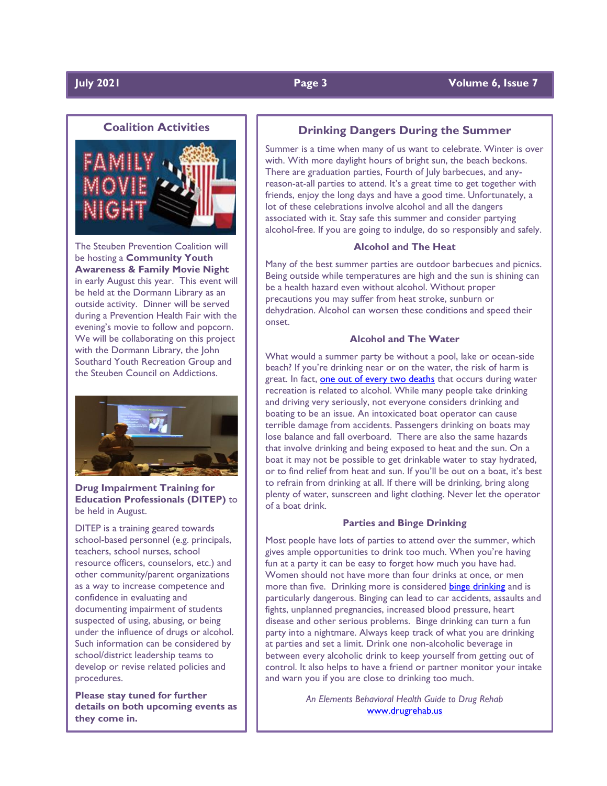# **Coalition Activities**



The Steuben Prevention Coalition will be hosting a **Community Youth Awareness & Family Movie Night** in early August this year. This event will be held at the Dormann Library as an outside activity. Dinner will be served during a Prevention Health Fair with the evening's movie to follow and popcorn. We will be collaborating on this project with the Dormann Library, the John Southard Youth Recreation Group and the Steuben Council on Addictions.



**Drug Impairment Training for Education Professionals (DITEP)** to be held in August.

DITEP is a training geared towards school-based personnel (e.g. principals, teachers, school nurses, school resource officers, counselors, etc.) and other community/parent organizations as a way to increase competence and confidence in evaluating and documenting impairment of students suspected of using, abusing, or being under the influence of drugs or alcohol. Such information can be considered by school/district leadership teams to develop or revise related policies and procedures.

**Please stay tuned for further details on both upcoming events as they come in.**

# **Drinking Dangers During the Summer**

Summer is a time when many of us want to celebrate. Winter is over with. With more daylight hours of bright sun, the beach beckons. There are graduation parties, Fourth of July barbecues, and anyreason-at-all parties to attend. It's a great time to get together with friends, enjoy the long days and have a good time. Unfortunately, a lot of these celebrations involve alcohol and all the dangers associated with it. Stay safe this summer and consider partying alcohol-free. If you are going to indulge, do so responsibly and safely.

### **Alcohol and The Heat**

Many of the best summer parties are outdoor barbecues and picnics. Being outside while temperatures are high and the sun is shining can be a health hazard even without alcohol. Without proper precautions you may suffer from heat stroke, sunburn or dehydration. Alcohol can worsen these conditions and speed their onset.

### **Alcohol and The Water**

What would a summer party be without a pool, lake or ocean-side beach? If you're drinking near or on the water, the risk of harm is great. In fact, [one out of every two deaths](http://pubs.niaaa.nih.gov/publications/SummerSafety/SummerSafety.htm) that occurs during water recreation is related to alcohol. While many people take drinking and driving very seriously, not everyone considers drinking and boating to be an issue. An intoxicated boat operator can cause terrible damage from accidents. Passengers drinking on boats may lose balance and fall overboard. There are also the same hazards that involve drinking and being exposed to heat and the sun. On a boat it may not be possible to get drinkable water to stay hydrated, or to find relief from heat and sun. If you'll be out on a boat, it's best to refrain from drinking at all. If there will be drinking, bring along plenty of water, sunscreen and light clothing. Never let the operator of a boat drink.

### **Parties and Binge Drinking**

Most people have lots of parties to attend over the summer, which gives ample opportunities to drink too much. When you're having fun at a party it can be easy to forget how much you have had. Women should not have more than four drinks at once, or men more than five. Drinking more is considered [binge drinking](http://www.cdc.gov/features/summertimesafety/) and is particularly dangerous. Binging can lead to car accidents, assaults and fights, unplanned pregnancies, increased blood pressure, heart disease and other serious problems. Binge drinking can turn a fun party into a nightmare. Always keep track of what you are drinking at parties and set a limit. Drink one non-alcoholic beverage in between every alcoholic drink to keep yourself from getting out of control. It also helps to have a friend or partner monitor your intake and warn you if you are close to drinking too much.

> *An Elements Behavioral Health Guide to Drug Rehab* [www.drugrehab.us](http://www.drugrehab.us/)